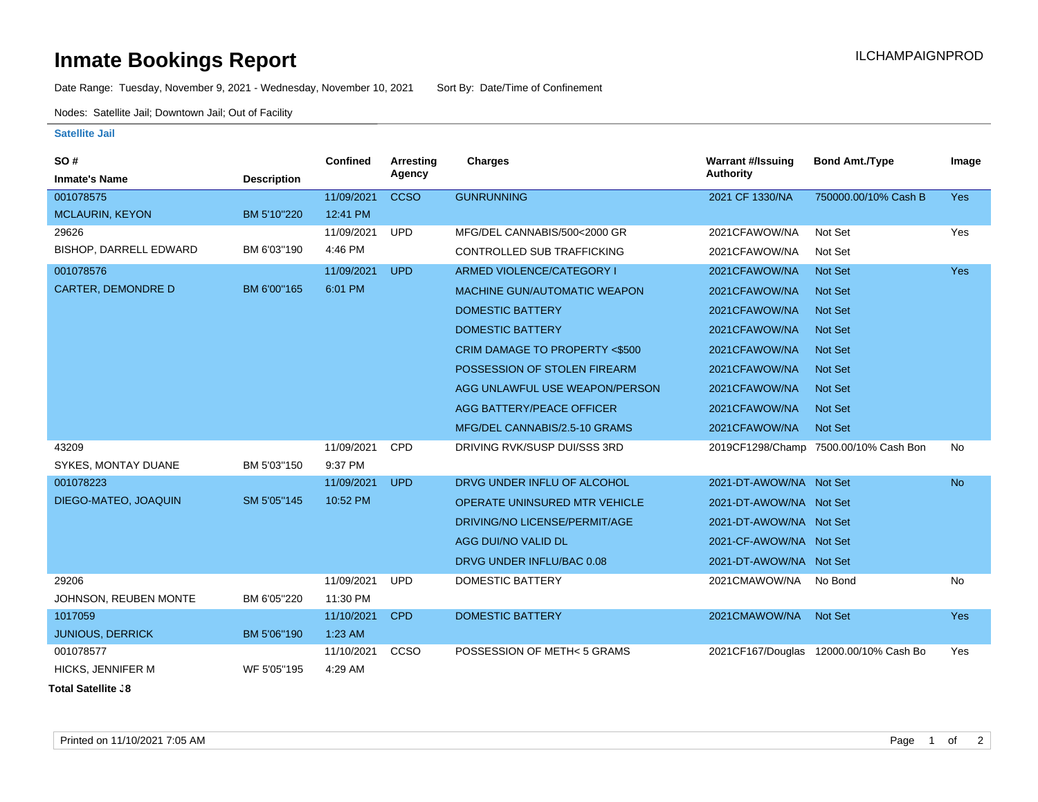## **Inmate Bookings Report Inmate Bookings Report**

Date Range: Tuesday, November 9, 2021 - Wednesday, November 10, 2021 Sort By: Date/Time of Confinement

Nodes: Satellite Jail; Downtown Jail; Out of Facility

## **Satellite Jail**

| SO#                       |                    | <b>Confined</b> | <b>Arresting</b> | <b>Charges</b>                      | <b>Warrant #/Issuing</b> | <b>Bond Amt./Type</b>                  | Image      |
|---------------------------|--------------------|-----------------|------------------|-------------------------------------|--------------------------|----------------------------------------|------------|
| <b>Inmate's Name</b>      | <b>Description</b> |                 | Agency           |                                     | <b>Authority</b>         |                                        |            |
| 001078575                 |                    | 11/09/2021      | <b>CCSO</b>      | <b>GUNRUNNING</b>                   | 2021 CF 1330/NA          | 750000.00/10% Cash B                   | <b>Yes</b> |
| <b>MCLAURIN, KEYON</b>    | BM 5'10"220        | 12:41 PM        |                  |                                     |                          |                                        |            |
| 29626                     |                    | 11/09/2021      | <b>UPD</b>       | MFG/DEL CANNABIS/500<2000 GR        | 2021CFAWOW/NA            | Not Set                                | Yes        |
| BISHOP, DARRELL EDWARD    | BM 6'03"190        | 4:46 PM         |                  | CONTROLLED SUB TRAFFICKING          | 2021CFAWOW/NA            | Not Set                                |            |
| 001078576                 |                    | 11/09/2021      | <b>UPD</b>       | ARMED VIOLENCE/CATEGORY I           | 2021CFAWOW/NA            | <b>Not Set</b>                         | <b>Yes</b> |
| <b>CARTER, DEMONDRE D</b> | BM 6'00"165        | 6:01 PM         |                  | <b>MACHINE GUN/AUTOMATIC WEAPON</b> | 2021CFAWOW/NA            | <b>Not Set</b>                         |            |
|                           |                    |                 |                  | <b>DOMESTIC BATTERY</b>             | 2021CFAWOW/NA            | <b>Not Set</b>                         |            |
|                           |                    |                 |                  | <b>DOMESTIC BATTERY</b>             | 2021CFAWOW/NA            | <b>Not Set</b>                         |            |
|                           |                    |                 |                  | CRIM DAMAGE TO PROPERTY <\$500      | 2021CFAWOW/NA            | <b>Not Set</b>                         |            |
|                           |                    |                 |                  | POSSESSION OF STOLEN FIREARM        | 2021CFAWOW/NA            | <b>Not Set</b>                         |            |
|                           |                    |                 |                  | AGG UNLAWFUL USE WEAPON/PERSON      | 2021CFAWOW/NA            | <b>Not Set</b>                         |            |
|                           |                    |                 |                  | AGG BATTERY/PEACE OFFICER           | 2021CFAWOW/NA            | <b>Not Set</b>                         |            |
|                           |                    |                 |                  | MFG/DEL CANNABIS/2.5-10 GRAMS       | 2021CFAWOW/NA            | <b>Not Set</b>                         |            |
| 43209                     |                    | 11/09/2021      | <b>CPD</b>       | DRIVING RVK/SUSP DUI/SSS 3RD        |                          | 2019CF1298/Champ 7500.00/10% Cash Bon  | <b>No</b>  |
| SYKES, MONTAY DUANE       | BM 5'03"150        | 9:37 PM         |                  |                                     |                          |                                        |            |
| 001078223                 |                    | 11/09/2021      | <b>UPD</b>       | DRVG UNDER INFLU OF ALCOHOL         | 2021-DT-AWOW/NA Not Set  |                                        | <b>No</b>  |
| DIEGO-MATEO, JOAQUIN      | SM 5'05"145        | 10:52 PM        |                  | OPERATE UNINSURED MTR VEHICLE       | 2021-DT-AWOW/NA Not Set  |                                        |            |
|                           |                    |                 |                  | DRIVING/NO LICENSE/PERMIT/AGE       | 2021-DT-AWOW/NA Not Set  |                                        |            |
|                           |                    |                 |                  | AGG DUI/NO VALID DL                 | 2021-CF-AWOW/NA Not Set  |                                        |            |
|                           |                    |                 |                  | DRVG UNDER INFLU/BAC 0.08           | 2021-DT-AWOW/NA Not Set  |                                        |            |
| 29206                     |                    | 11/09/2021      | <b>UPD</b>       | <b>DOMESTIC BATTERY</b>             | 2021CMAWOW/NA            | No Bond                                | No         |
| JOHNSON, REUBEN MONTE     | BM 6'05"220        | 11:30 PM        |                  |                                     |                          |                                        |            |
| 1017059                   |                    | 11/10/2021      | <b>CPD</b>       | <b>DOMESTIC BATTERY</b>             | 2021CMAWOW/NA            | Not Set                                | <b>Yes</b> |
| <b>JUNIOUS, DERRICK</b>   | BM 5'06"190        | $1:23$ AM       |                  |                                     |                          |                                        |            |
| 001078577                 |                    | 11/10/2021      | CCSO             | POSSESSION OF METH< 5 GRAMS         |                          | 2021CF167/Douglas 12000.00/10% Cash Bo | Yes        |
| <b>HICKS, JENNIFER M</b>  | WF 5'05"195        | 4:29 AM         |                  |                                     |                          |                                        |            |

**Total Satellite Jail: 8**